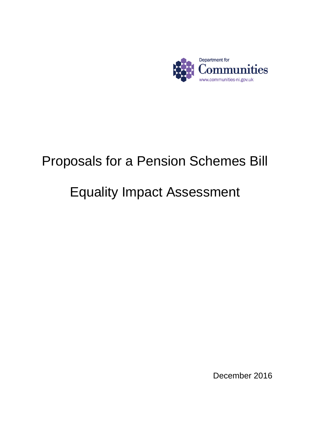

# Proposals for a Pension Schemes Bill

# Equality Impact Assessment

December 2016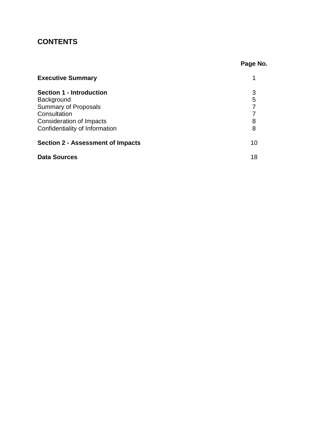# **CONTENTS**

|                                          | Page No. |  |
|------------------------------------------|----------|--|
| <b>Executive Summary</b>                 | 1        |  |
| <b>Section 1 - Introduction</b>          | 3        |  |
| Background                               | 5        |  |
| <b>Summary of Proposals</b>              | 7        |  |
| Consultation                             | 7        |  |
| Consideration of Impacts                 | 8        |  |
| Confidentiality of Information           | 8        |  |
| <b>Section 2 - Assessment of Impacts</b> | 10       |  |
| <b>Data Sources</b>                      | 18       |  |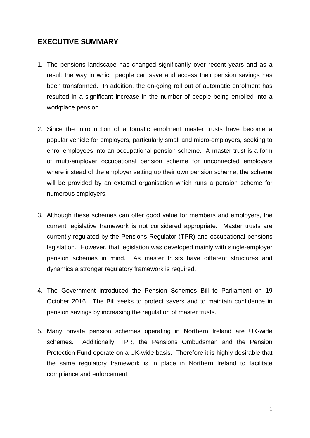## **EXECUTIVE SUMMARY**

- 1. The pensions landscape has changed significantly over recent years and as a result the way in which people can save and access their pension savings has been transformed. In addition, the on-going roll out of automatic enrolment has resulted in a significant increase in the number of people being enrolled into a workplace pension.
- 2. Since the introduction of automatic enrolment master trusts have become a popular vehicle for employers, particularly small and micro-employers, seeking to enrol employees into an occupational pension scheme. A master trust is a form of multi-employer occupational pension scheme for unconnected employers where instead of the employer setting up their own pension scheme, the scheme will be provided by an external organisation which runs a pension scheme for numerous employers.
- 3. Although these schemes can offer good value for members and employers, the current legislative framework is not considered appropriate. Master trusts are currently regulated by the Pensions Regulator (TPR) and occupational pensions legislation. However, that legislation was developed mainly with single-employer pension schemes in mind. As master trusts have different structures and dynamics a stronger regulatory framework is required.
- 4. The Government introduced the Pension Schemes Bill to Parliament on 19 October 2016. The Bill seeks to protect savers and to maintain confidence in pension savings by increasing the regulation of master trusts.
- 5. Many private pension schemes operating in Northern Ireland are UK-wide schemes. Additionally, TPR, the Pensions Ombudsman and the Pension Protection Fund operate on a UK-wide basis. Therefore it is highly desirable that the same regulatory framework is in place in Northern Ireland to facilitate compliance and enforcement.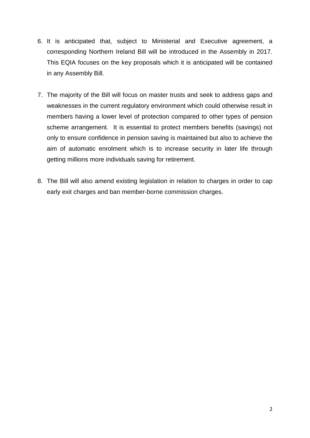- 6. It is anticipated that, subject to Ministerial and Executive agreement, a corresponding Northern Ireland Bill will be introduced in the Assembly in 2017. This EQIA focuses on the key proposals which it is anticipated will be contained in any Assembly Bill.
- 7. The majority of the Bill will focus on master trusts and seek to address gaps and weaknesses in the current regulatory environment which could otherwise result in members having a lower level of protection compared to other types of pension scheme arrangement. It is essential to protect members benefits (savings) not only to ensure confidence in pension saving is maintained but also to achieve the aim of automatic enrolment which is to increase security in later life through getting millions more individuals saving for retirement.
- 8. The Bill will also amend existing legislation in relation to charges in order to cap early exit charges and ban member-borne commission charges.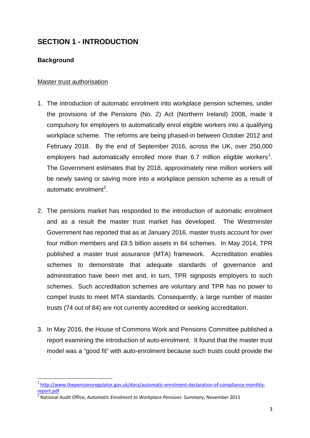# **SECTION 1 - INTRODUCTION**

#### **Background**

#### Master trust authorisation

- 1. The introduction of automatic enrolment into workplace pension schemes, under the provisions of the Pensions (No. 2) Act (Northern Ireland) 2008, made it compulsory for employers to automatically enrol eligible workers into a qualifying workplace scheme. The reforms are being phased-in between October 2012 and February 2018. By the end of September 2016, across the UK, over 250,000 employers had automatically enrolled more than 6.7 million eligible workers<sup>[1](#page-4-0)</sup>. The Government estimates that by 2018, approximately nine million workers will be newly saving or saving more into a workplace pension scheme as a result of automatic enrolment<sup>[2](#page-4-1)</sup>.
- 2. The pensions market has responded to the introduction of automatic enrolment and as a result the master trust market has developed. The Westminster Government has reported that as at January 2016, master trusts account for over four million members and £8.5 billion assets in 84 schemes. In May 2014, TPR published a master trust assurance (MTA) framework. Accreditation enables schemes to demonstrate that adequate standards of governance and administration have been met and, in turn, TPR signposts employers to such schemes. Such accreditation schemes are voluntary and TPR has no power to compel trusts to meet MTA standards. Consequently, a large number of master trusts (74 out of 84) are not currently accredited or seeking accreditation.
- 3. In May 2016, the House of Commons Work and Pensions Committee published a report examining the introduction of auto-enrolment. It found that the master trust model was a "good fit" with auto-enrolment because such trusts could provide the

<span id="page-4-0"></span>[http://www.thepensionsregulator.gov.uk/docs/automatic-enrolment-declaration-of-compliance-monthly](http://www.thepensionsregulator.gov.uk/docs/automatic-enrolment-declaration-of-compliance-monthly-report.pdf)[report.pdf](http://www.thepensionsregulator.gov.uk/docs/automatic-enrolment-declaration-of-compliance-monthly-report.pdf)

<span id="page-4-1"></span><sup>2</sup> National Audit Office, *Automatic Enrolment to Workplace Pensions: Summary*, November 2015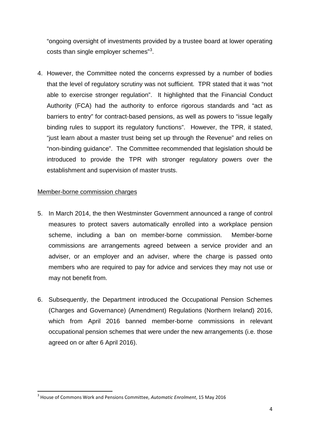"ongoing oversight of investments provided by a trustee board at lower operating costs than single employer schemes"<sup>[3](#page-5-0)</sup>.

4. However, the Committee noted the concerns expressed by a number of bodies that the level of regulatory scrutiny was not sufficient. TPR stated that it was "not able to exercise stronger regulation". It highlighted that the Financial Conduct Authority (FCA) had the authority to enforce rigorous standards and "act as barriers to entry" for contract-based pensions, as well as powers to "issue legally binding rules to support its regulatory functions". However, the TPR, it stated, "just learn about a master trust being set up through the Revenue" and relies on "non-binding guidance". The Committee recommended that legislation should be introduced to provide the TPR with stronger regulatory powers over the establishment and supervision of master trusts.

#### Member-borne commission charges

- 5. In March 2014, the then Westminster Government announced a range of control measures to protect savers automatically enrolled into a workplace pension scheme, including a ban on member-borne commission. Member-borne commissions are arrangements agreed between a service provider and an adviser, or an employer and an adviser, where the charge is passed onto members who are required to pay for advice and services they may not use or may not benefit from.
- 6. Subsequently, the Department introduced the Occupational Pension Schemes (Charges and Governance) (Amendment) Regulations (Northern Ireland) 2016, which from April 2016 banned member-borne commissions in relevant occupational pension schemes that were under the new arrangements (i.e. those agreed on or after 6 April 2016).

<span id="page-5-0"></span> <sup>3</sup> House of Commons Work and Pensions Committee, *Automatic Enrolment*, 15 May 2016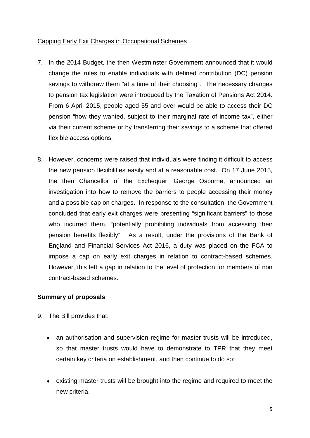#### Capping Early Exit Charges in Occupational Schemes

- 7. In the 2014 Budget, the then Westminster Government announced that it would change the rules to enable individuals with defined contribution (DC) pension savings to withdraw them "at a time of their choosing". The necessary changes to pension tax legislation were introduced by the Taxation of Pensions Act 2014. From 6 April 2015, people aged 55 and over would be able to access their DC pension "how they wanted, subject to their marginal rate of income tax", either via their current scheme or by transferring their savings to a scheme that offered flexible access options.
- 8. However, concerns were raised that individuals were finding it difficult to access the new pension flexibilities easily and at a reasonable cost. On 17 June 2015, the then Chancellor of the Exchequer, George Osborne, announced an investigation into how to remove the barriers to people accessing their money and a possible cap on charges. In response to the consultation, the Government concluded that early exit charges were presenting "significant barriers" to those who incurred them, "potentially prohibiting individuals from accessing their pension benefits flexibly". As a result, under the provisions of the Bank of England and Financial Services Act 2016, a duty was placed on the FCA to impose a cap on early exit charges in relation to contract-based schemes. However, this left a gap in relation to the level of protection for members of non contract-based schemes.

#### **Summary of proposals**

- 9. The Bill provides that:
	- an authorisation and supervision regime for master trusts will be introduced, so that master trusts would have to demonstrate to TPR that they meet certain key criteria on establishment, and then continue to do so;
	- existing master trusts will be brought into the regime and required to meet the new criteria.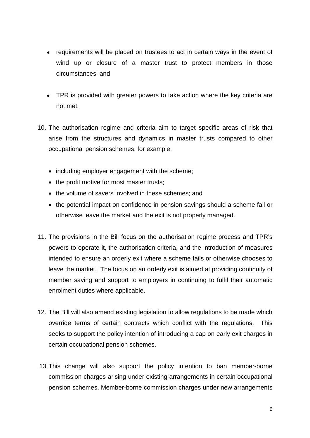- requirements will be placed on trustees to act in certain ways in the event of wind up or closure of a master trust to protect members in those circumstances; and
- TPR is provided with greater powers to take action where the key criteria are not met.
- 10. The authorisation regime and criteria aim to target specific areas of risk that arise from the structures and dynamics in master trusts compared to other occupational pension schemes, for example:
	- including employer engagement with the scheme;
	- the profit motive for most master trusts;
	- the volume of savers involved in these schemes; and
	- the potential impact on confidence in pension savings should a scheme fail or otherwise leave the market and the exit is not properly managed.
- 11. The provisions in the Bill focus on the authorisation regime process and TPR's powers to operate it, the authorisation criteria, and the introduction of measures intended to ensure an orderly exit where a scheme fails or otherwise chooses to leave the market. The focus on an orderly exit is aimed at providing continuity of member saving and support to employers in continuing to fulfil their automatic enrolment duties where applicable.
- 12. The Bill will also amend existing legislation to allow regulations to be made which override terms of certain contracts which conflict with the regulations. This seeks to support the policy intention of introducing a cap on early exit charges in certain occupational pension schemes.
- 13.This change will also support the policy intention to ban member-borne commission charges arising under existing arrangements in certain occupational pension schemes. Member-borne commission charges under new arrangements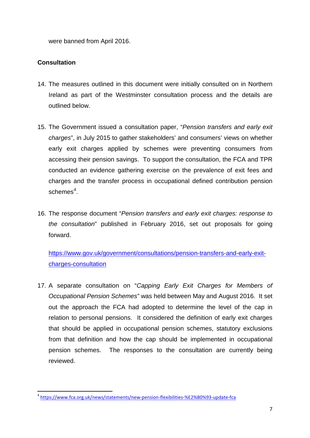were banned from April 2016.

### **Consultation**

- 14. The measures outlined in this document were initially consulted on in Northern Ireland as part of the Westminster consultation process and the details are outlined below.
- 15. The Government issued a consultation paper, "*Pension transfers and early exit charges*", in July 2015 to gather stakeholders' and consumers' views on whether early exit charges applied by schemes were preventing consumers from accessing their pension savings. To support the consultation, the FCA and TPR conducted an evidence gathering exercise on the prevalence of exit fees and charges and the transfer process in occupational defined contribution pension  $s$ cheme $s^4$  $s^4$ .
- 16. The response document "*Pension transfers and early exit charges: response to the consultation*" published in February 2016, set out proposals for going forward.

[https://www.gov.uk/government/consultations/pension-transfers-and-early-exit](https://www.gov.uk/government/consultations/pension-transfers-and-early-exit-charges-consultation)[charges-consultation](https://www.gov.uk/government/consultations/pension-transfers-and-early-exit-charges-consultation)

17. A separate consultation on "*Capping Early Exit Charges for Members of Occupational Pension Schemes"* was held between May and August 2016. It set out the approach the FCA had adopted to determine the level of the cap in relation to personal pensions. It considered the definition of early exit charges that should be applied in occupational pension schemes, statutory exclusions from that definition and how the cap should be implemented in occupational pension schemes. The responses to the consultation are currently being reviewed.

<span id="page-8-0"></span> <sup>4</sup> <https://www.fca.org.uk/news/statements/new-pension-flexibilities-%E2%80%93-update-fca>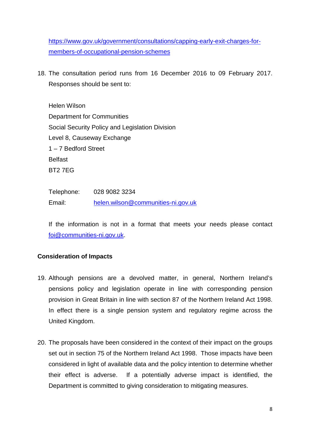[https://www.gov.uk/government/consultations/capping-early-exit-charges-for](https://www.gov.uk/government/consultations/capping-early-exit-charges-for-members-of-occupational-pension-schemes)[members-of-occupational-pension-schemes](https://www.gov.uk/government/consultations/capping-early-exit-charges-for-members-of-occupational-pension-schemes)

18. The consultation period runs from 16 December 2016 to 09 February 2017. Responses should be sent to:

Helen Wilson Department for Communities Social Security Policy and Legislation Division Level 8, Causeway Exchange 1 – 7 Bedford Street Belfast BT2 7EG

Telephone: 028 9082 3234 Email: [helen.wilson@communities-ni.gov.uk](mailto:helen.wilson@communities-ni.gov.uk)

If the information is not in a format that meets your needs please contact [foi@communities-ni.gov.uk.](mailto:foi@communities-ni.gov.uk?subject=Internet%20enquiry)

#### **Consideration of Impacts**

- 19. Although pensions are a devolved matter, in general, Northern Ireland's pensions policy and legislation operate in line with corresponding pension provision in Great Britain in line with section 87 of the Northern Ireland Act 1998. In effect there is a single pension system and regulatory regime across the United Kingdom.
- 20. The proposals have been considered in the context of their impact on the groups set out in section 75 of the Northern Ireland Act 1998. Those impacts have been considered in light of available data and the policy intention to determine whether their effect is adverse. If a potentially adverse impact is identified, the Department is committed to giving consideration to mitigating measures.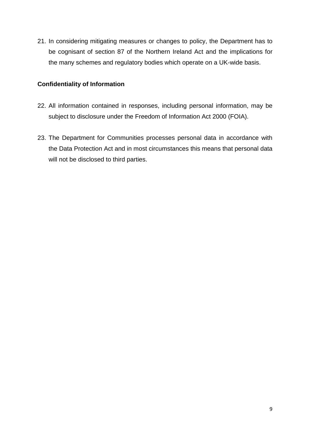21. In considering mitigating measures or changes to policy, the Department has to be cognisant of section 87 of the Northern Ireland Act and the implications for the many schemes and regulatory bodies which operate on a UK-wide basis.

#### **Confidentiality of Information**

- 22. All information contained in responses, including personal information, may be subject to disclosure under the Freedom of Information Act 2000 (FOIA).
- 23. The Department for Communities processes personal data in accordance with the Data Protection Act and in most circumstances this means that personal data will not be disclosed to third parties.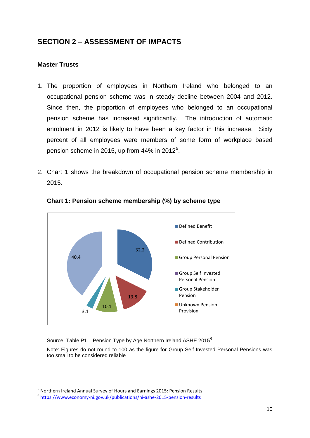# **SECTION 2 – ASSESSMENT OF IMPACTS**

#### **Master Trusts**

- 1. The proportion of employees in Northern Ireland who belonged to an occupational pension scheme was in steady decline between 2004 and 2012. Since then, the proportion of employees who belonged to an occupational pension scheme has increased significantly. The introduction of automatic enrolment in 2012 is likely to have been a key factor in this increase. Sixty percent of all employees were members of some form of workplace based pension scheme in 201[5](#page-11-0), up from  $44\%$  in 2012<sup>5</sup>.
- 2. Chart 1 shows the breakdown of occupational pension scheme membership in 2015.



**Chart 1: Pension scheme membership (%) by scheme type**

Source: Table P1.1 Pension Type by Age Northern Ireland ASHE 2015<sup>[6](#page-11-1)</sup>

Note: Figures do not round to 100 as the figure for Group Self Invested Personal Pensions was too small to be considered reliable

<span id="page-11-0"></span><sup>&</sup>lt;sup>5</sup> Northern Ireland Annual Survey of Hours and Earnings 2015: Pension Results 6 <https://www.economy-ni.gov.uk/publications/ni-ashe-2015-pension-results>

<span id="page-11-1"></span>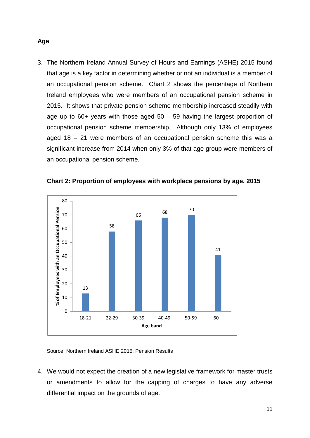3. The Northern Ireland Annual Survey of Hours and Earnings (ASHE) 2015 found that age is a key factor in determining whether or not an individual is a member of an occupational pension scheme. Chart 2 shows the percentage of Northern Ireland employees who were members of an occupational pension scheme in 2015. It shows that private pension scheme membership increased steadily with age up to  $60+$  years with those aged  $50 - 59$  having the largest proportion of occupational pension scheme membership. Although only 13% of employees aged 18 – 21 were members of an occupational pension scheme this was a significant increase from 2014 when only 3% of that age group were members of an occupational pension scheme.



**Chart 2: Proportion of employees with workplace pensions by age, 2015**

Source: Northern Ireland ASHE 2015: Pension Results

4. We would not expect the creation of a new legislative framework for master trusts or amendments to allow for the capping of charges to have any adverse differential impact on the grounds of age.

#### **Age**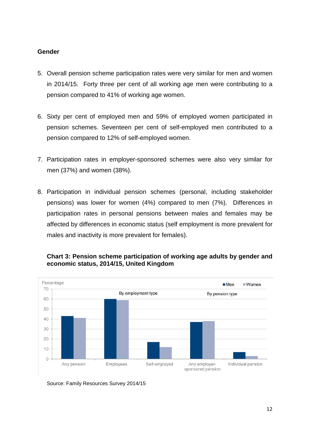#### **Gender**

- 5. Overall pension scheme participation rates were very similar for men and women in 2014/15. Forty three per cent of all working age men were contributing to a pension compared to 41% of working age women.
- 6. Sixty per cent of employed men and 59% of employed women participated in pension schemes. Seventeen per cent of self-employed men contributed to a pension compared to 12% of self-employed women.
- 7. Participation rates in employer-sponsored schemes were also very similar for men (37%) and women (38%).
- 8. Participation in individual pension schemes (personal, including stakeholder pensions) was lower for women (4%) compared to men (7%). Differences in participation rates in personal pensions between males and females may be affected by differences in economic status (self employment is more prevalent for males and inactivity is more prevalent for females).



#### **Chart 3: Pension scheme participation of working age adults by gender and economic status, 2014/15, United Kingdom**

Source: Family Resources Survey 2014/15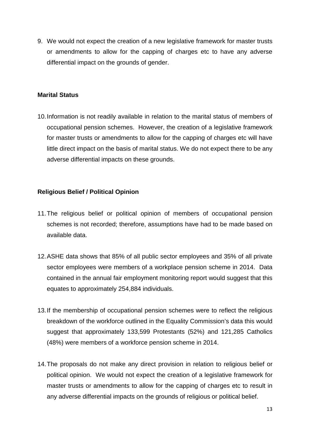9. We would not expect the creation of a new legislative framework for master trusts or amendments to allow for the capping of charges etc to have any adverse differential impact on the grounds of gender.

#### **Marital Status**

10.Information is not readily available in relation to the marital status of members of occupational pension schemes. However, the creation of a legislative framework for master trusts or amendments to allow for the capping of charges etc will have little direct impact on the basis of marital status. We do not expect there to be any adverse differential impacts on these grounds.

#### **Religious Belief / Political Opinion**

- 11.The religious belief or political opinion of members of occupational pension schemes is not recorded; therefore, assumptions have had to be made based on available data.
- 12.ASHE data shows that 85% of all public sector employees and 35% of all private sector employees were members of a workplace pension scheme in 2014. Data contained in the annual fair employment monitoring report would suggest that this equates to approximately 254,884 individuals.
- 13.If the membership of occupational pension schemes were to reflect the religious breakdown of the workforce outlined in the Equality Commission's data this would suggest that approximately 133,599 Protestants (52%) and 121,285 Catholics (48%) were members of a workforce pension scheme in 2014.
- 14.The proposals do not make any direct provision in relation to religious belief or political opinion. We would not expect the creation of a legislative framework for master trusts or amendments to allow for the capping of charges etc to result in any adverse differential impacts on the grounds of religious or political belief.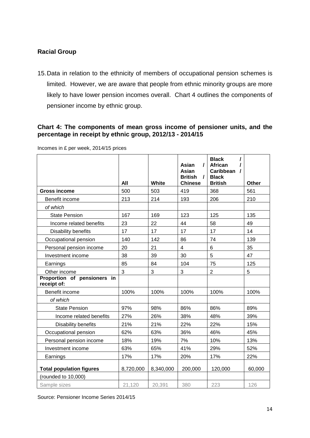### **Racial Group**

15.Data in relation to the ethnicity of members of occupational pension schemes is limited. However, we are aware that people from ethnic minority groups are more likely to have lower pension incomes overall. Chart 4 outlines the components of pensioner income by ethnic group.

#### **Chart 4: The components of mean gross income of pensioner units, and the percentage in receipt by ethnic group, 2012/13 - 2014/15**

|                                            |           |           | Asian<br>I                                     | <b>Black</b><br><b>African</b>                          |        |
|--------------------------------------------|-----------|-----------|------------------------------------------------|---------------------------------------------------------|--------|
|                                            | All       | White     | Asian<br><b>British</b><br>1<br><b>Chinese</b> | <b>Caribbean</b><br>1<br><b>Black</b><br><b>British</b> | Other  |
| <b>Gross income</b>                        | 500       | 503       | 419                                            | 368                                                     | 561    |
| Benefit income                             | 213       | 214       | 193                                            | 206                                                     | 210    |
| of which                                   |           |           |                                                |                                                         |        |
| <b>State Pension</b>                       | 167       | 169       | 123                                            | 125                                                     | 135    |
| Income related benefits                    | 23        | 22        | 44                                             | 58                                                      | 49     |
| Disability benefits                        | 17        | 17        | 17                                             | 17                                                      | 14     |
| Occupational pension                       | 140       | 142       | 86                                             | 74                                                      | 139    |
| Personal pension income                    | 20        | 21        | $\overline{4}$                                 | 6                                                       | 35     |
| Investment income                          | 38        | 39        | 30                                             | 5                                                       | 47     |
| Earnings                                   | 85        | 84        | 104                                            | 75                                                      | 125    |
| Other income                               | 3         | 3         | 3                                              | $\overline{2}$                                          | 5      |
| Proportion of pensioners in<br>receipt of: |           |           |                                                |                                                         |        |
| Benefit income                             | 100%      | 100%      | 100%                                           | 100%                                                    | 100%   |
| of which                                   |           |           |                                                |                                                         |        |
| <b>State Pension</b>                       | 97%       | 98%       | 86%                                            | 86%                                                     | 89%    |
| Income related benefits                    | 27%       | 26%       | 38%                                            | 48%                                                     | 39%    |
| Disability benefits                        | 21%       | 21%       | 22%                                            | 22%                                                     | 15%    |
| Occupational pension                       | 62%       | 63%       | 36%                                            | 46%                                                     | 45%    |
| Personal pension income                    | 18%       | 19%       | 7%                                             | 10%                                                     | 13%    |
| Investment income                          | 63%       | 65%       | 41%                                            | 29%                                                     | 52%    |
| Earnings                                   | 17%       | 17%       | 20%                                            | 17%                                                     | 22%    |
| <b>Total population figures</b>            | 8,720,000 | 8,340,000 | 200,000                                        | 120,000                                                 | 60,000 |
| (rounded to 10,000)                        |           |           |                                                |                                                         |        |
| Sample sizes                               | 21,120    | 20,391    | 380                                            | 223                                                     | 126    |

Incomes in £ per week, 2014/15 prices

Source: Pensioner Income Series 2014/15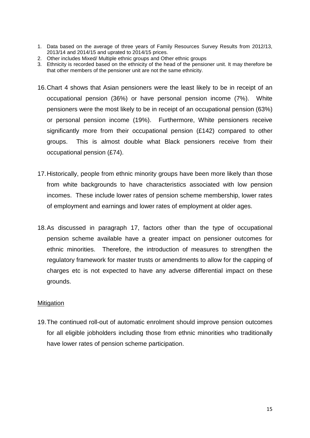- 1. Data based on the average of three years of Family Resources Survey Results from 2012/13, 2013/14 and 2014/15 and uprated to 2014/15 prices.
- 2. Other includes Mixed/ Multiple ethnic groups and Other ethnic groups
- 3. Ethnicity is recorded based on the ethnicity of the head of the pensioner unit. It may therefore be that other members of the pensioner unit are not the same ethnicity.
- 16.Chart 4 shows that Asian pensioners were the least likely to be in receipt of an occupational pension (36%) or have personal pension income (7%). White pensioners were the most likely to be in receipt of an occupational pension (63%) or personal pension income (19%). Furthermore, White pensioners receive significantly more from their occupational pension (£142) compared to other groups. This is almost double what Black pensioners receive from their occupational pension (£74).
- 17.Historically, people from ethnic minority groups have been more likely than those from white backgrounds to have characteristics associated with low pension incomes. These include lower rates of pension scheme membership, lower rates of employment and earnings and lower rates of employment at older ages.
- 18.As discussed in paragraph 17, factors other than the type of occupational pension scheme available have a greater impact on pensioner outcomes for ethnic minorities. Therefore, the introduction of measures to strengthen the regulatory framework for master trusts or amendments to allow for the capping of charges etc is not expected to have any adverse differential impact on these grounds.

#### Mitigation

19.The continued roll-out of automatic enrolment should improve pension outcomes for all eligible jobholders including those from ethnic minorities who traditionally have lower rates of pension scheme participation.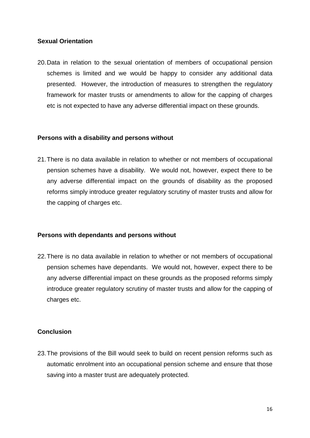#### **Sexual Orientation**

20.Data in relation to the sexual orientation of members of occupational pension schemes is limited and we would be happy to consider any additional data presented. However, the introduction of measures to strengthen the regulatory framework for master trusts or amendments to allow for the capping of charges etc is not expected to have any adverse differential impact on these grounds.

#### **Persons with a disability and persons without**

21.There is no data available in relation to whether or not members of occupational pension schemes have a disability. We would not, however, expect there to be any adverse differential impact on the grounds of disability as the proposed reforms simply introduce greater regulatory scrutiny of master trusts and allow for the capping of charges etc.

#### **Persons with dependants and persons without**

22.There is no data available in relation to whether or not members of occupational pension schemes have dependants. We would not, however, expect there to be any adverse differential impact on these grounds as the proposed reforms simply introduce greater regulatory scrutiny of master trusts and allow for the capping of charges etc.

#### **Conclusion**

23.The provisions of the Bill would seek to build on recent pension reforms such as automatic enrolment into an occupational pension scheme and ensure that those saving into a master trust are adequately protected.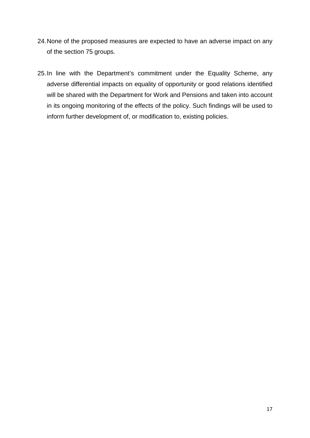- 24.None of the proposed measures are expected to have an adverse impact on any of the section 75 groups.
- 25.In line with the Department's commitment under the Equality Scheme, any adverse differential impacts on equality of opportunity or good relations identified will be shared with the Department for Work and Pensions and taken into account in its ongoing monitoring of the effects of the policy. Such findings will be used to inform further development of, or modification to, existing policies.